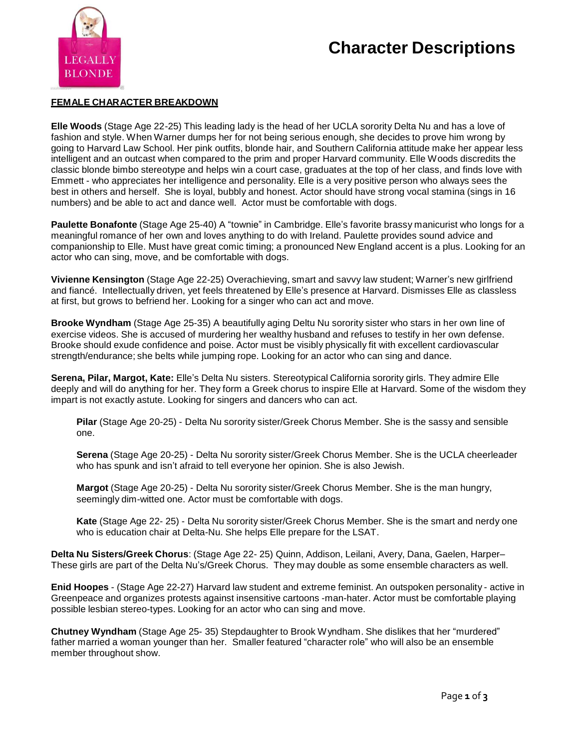# **Character Descriptions**



#### **FEMALE CHARACTER BREAKDOWN**

**Elle Woods** (Stage Age 22-25) This leading lady is the head of her UCLA sorority Delta Nu and has a love of fashion and style. When Warner dumps her for not being serious enough, she decides to prove him wrong by going to Harvard Law School. Her pink outfits, blonde hair, and Southern California attitude make her appear less intelligent and an outcast when compared to the prim and proper Harvard community. Elle Woods discredits the classic blonde bimbo stereotype and helps win a court case, graduates at the top of her class, and finds love with Emmett - who appreciates her intelligence and personality. Elle is a very positive person who always sees the best in others and herself. She is loyal, bubbly and honest. Actor should have strong vocal stamina (sings in 16 numbers) and be able to act and dance well. Actor must be comfortable with dogs.

**Paulette Bonafonte** (Stage Age 25-40) A "townie" in Cambridge. Elle's favorite brassy manicurist who longs for a meaningful romance of her own and loves anything to do with Ireland. Paulette provides sound advice and companionship to Elle. Must have great comic timing; a pronounced New England accent is a plus. Looking for an actor who can sing, move, and be comfortable with dogs.

**Vivienne Kensington** (Stage Age 22-25) Overachieving, smart and savvy law student; Warner's new girlfriend and fiancé. Intellectually driven, yet feels threatened by Elle's presence at Harvard. Dismisses Elle as classless at first, but grows to befriend her. Looking for a singer who can act and move.

**Brooke Wyndham** (Stage Age 25-35) A beautifully aging Deltu Nu sorority sister who stars in her own line of exercise videos. She is accused of murdering her wealthy husband and refuses to testify in her own defense. Brooke should exude confidence and poise. Actor must be visibly physically fit with excellent cardiovascular strength/endurance; she belts while jumping rope. Looking for an actor who can sing and dance.

**Serena, Pilar, Margot, Kate:** Elle's Delta Nu sisters. Stereotypical California sorority girls. They admire Elle deeply and will do anything for her. They form a Greek chorus to inspire Elle at Harvard. Some of the wisdom they impart is not exactly astute. Looking for singers and dancers who can act.

**Pilar** (Stage Age 20-25) - Delta Nu sorority sister/Greek Chorus Member. She is the sassy and sensible one.

**Serena** (Stage Age 20-25) - Delta Nu sorority sister/Greek Chorus Member. She is the UCLA cheerleader who has spunk and isn't afraid to tell everyone her opinion. She is also Jewish.

**Margot** (Stage Age 20-25) - Delta Nu sorority sister/Greek Chorus Member. She is the man hungry, seemingly dim-witted one. Actor must be comfortable with dogs.

**Kate** (Stage Age 22- 25) - Delta Nu sorority sister/Greek Chorus Member. She is the smart and nerdy one who is education chair at Delta-Nu. She helps Elle prepare for the LSAT.

**Delta Nu Sisters/Greek Chorus**: (Stage Age 22- 25) Quinn, Addison, Leilani, Avery, Dana, Gaelen, Harper– These girls are part of the Delta Nu's/Greek Chorus. They may double as some ensemble characters as well.

**Enid Hoopes** - (Stage Age 22-27) Harvard law student and extreme feminist. An outspoken personality - active in Greenpeace and organizes protests against insensitive cartoons -man-hater. Actor must be comfortable playing possible lesbian stereo-types. Looking for an actor who can sing and move.

**Chutney Wyndham** (Stage Age 25- 35) Stepdaughter to Brook Wyndham. She dislikes that her "murdered" father married a woman younger than her. Smaller featured "character role" who will also be an ensemble member throughout show.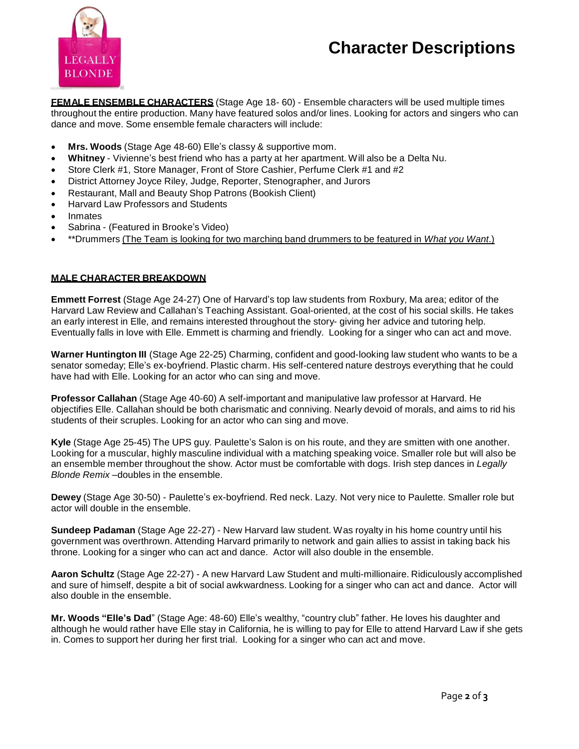# **Character Descriptions**



**FEMALE ENSEMBLE CHARACTERS** (Stage Age 18- 60) - Ensemble characters will be used multiple times throughout the entire production. Many have featured solos and/or lines. Looking for actors and singers who can dance and move. Some ensemble female characters will include:

- **Mrs. Woods** (Stage Age 48-60) Elle's classy & supportive mom.
- **Whitney** Vivienne's best friend who has a party at her apartment. Will also be a Delta Nu.
- Store Clerk #1, Store Manager, Front of Store Cashier, Perfume Clerk #1 and #2
- District Attorney Joyce Riley, Judge, Reporter, Stenographer, and Jurors
- Restaurant, Mall and Beauty Shop Patrons (Bookish Client)
- Harvard Law Professors and Students
- Inmates
- Sabrina (Featured in Brooke's Video)
- \*\*Drummers (The Team is looking for two marching band drummers to be featured in *What you Want*.)

#### **MALE CHARACTER BREAKDOWN**

**Emmett Forrest** (Stage Age 24-27) One of Harvard's top law students from Roxbury, Ma area; editor of the Harvard Law Review and Callahan's Teaching Assistant. Goal-oriented, at the cost of his social skills. He takes an early interest in Elle, and remains interested throughout the story- giving her advice and tutoring help. Eventually falls in love with Elle. Emmett is charming and friendly. Looking for a singer who can act and move.

**Warner Huntington III** (Stage Age 22-25) Charming, confident and good-looking law student who wants to be a senator someday; Elle's ex-boyfriend. Plastic charm. His self-centered nature destroys everything that he could have had with Elle. Looking for an actor who can sing and move.

**Professor Callahan** (Stage Age 40-60) A self-important and manipulative law professor at Harvard. He objectifies Elle. Callahan should be both charismatic and conniving. Nearly devoid of morals, and aims to rid his students of their scruples. Looking for an actor who can sing and move.

**Kyle** (Stage Age 25-45) The UPS guy. Paulette's Salon is on his route, and they are smitten with one another. Looking for a muscular, highly masculine individual with a matching speaking voice. Smaller role but will also be an ensemble member throughout the show. Actor must be comfortable with dogs. Irish step dances in *Legally Blonde Remix* –doubles in the ensemble.

**Dewey** (Stage Age 30-50) - Paulette's ex-boyfriend. Red neck. Lazy. Not very nice to Paulette. Smaller role but actor will double in the ensemble.

**Sundeep Padaman** (Stage Age 22-27) - New Harvard law student. Was royalty in his home country until his government was overthrown. Attending Harvard primarily to network and gain allies to assist in taking back his throne. Looking for a singer who can act and dance. Actor will also double in the ensemble.

**Aaron Schultz** (Stage Age 22-27) - A new Harvard Law Student and multi-millionaire. Ridiculously accomplished and sure of himself, despite a bit of social awkwardness. Looking for a singer who can act and dance. Actor will also double in the ensemble.

**Mr. Woods "Elle's Dad**" (Stage Age: 48-60) Elle's wealthy, "country club" father. He loves his daughter and although he would rather have Elle stay in California, he is willing to pay for Elle to attend Harvard Law if she gets in. Comes to support her during her first trial. Looking for a singer who can act and move.